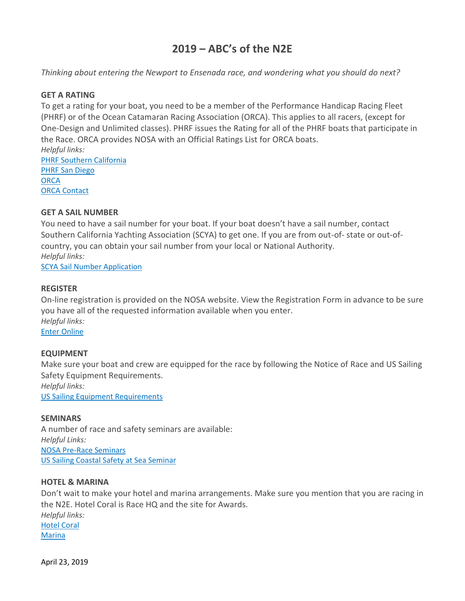# **2019 – ABC's of the N2E**

*Thinking about entering the Newport to Ensenada race, and wondering what you should do next?*

### **GET A RATING**

To get a rating for your boat, you need to be a member of the Performance Handicap Racing Fleet (PHRF) or of the Ocean Catamaran Racing Association (ORCA). This applies to all racers, (except for One-Design and Unlimited classes). PHRF issues the Rating for all of the PHRF boats that participate in the Race. ORCA provides NOSA with an Official Ratings List for ORCA boats. *Helpful links:* PHRF Southern [California](http://www.phrfsocal.org/) PHRF San [Diego](http://www.phrfsandiego.org/)

**[ORCA](http://orcaracing.org/)** ORCA [Contact](mailto:bill@gibbsvineyards.com)

## **GET A SAIL NUMBER**

You need to have a sail number for your boat. If your boat doesn't have a sail number, contact Southern California Yachting Association (SCYA) to get one. If you are from out-of- state or out-ofcountry, you can obtain your sail number from your local or National Authority. *Helpful links:* SCYA Sail Number [Application](http://nosa.org/wp-content/uploads/2019/03/NEW-Sail-Number-Form-10-31-17.pdf)

### **REGISTER**

On-line registration is provided on the NOSA website. View the Registration Form in advance to be sure you have all of the requested information available when you enter. *Helpful links:* Enter [Online](http://www.nosa.org/)

### **EQUIPMENT**

Make sure your boat and crew are equipped for the race by following the Notice of Race and US Sailing Safety Equipment Requirements. *Helpful links:*

US Sailing Equipment [Requirements](https://www.ussailing.org/wp-content/uploads/2018/03/US_SER_2018.0_Categories.pdf)

### **SEMINARS**

A number of race and safety seminars are available: *Helpful Links:* NOSA Pre-Race [Seminars](http://nosa.org/seminars/) US Sailing Coastal Safety at Sea [Seminar](http://www.ussailing.org/education/safety-at-sea/find-a-seminar-near-you/)

### **HOTEL & MARINA**

Don't wait to make your hotel and marina arrangements. Make sure you mention that you are racing in the N2E. Hotel Coral is Race HQ and the site for Awards. *Helpful links:* [Hotel](http://www.hotelcoral.com/) Coral **[Marina](http://www.hotelcoral.com/marina)**